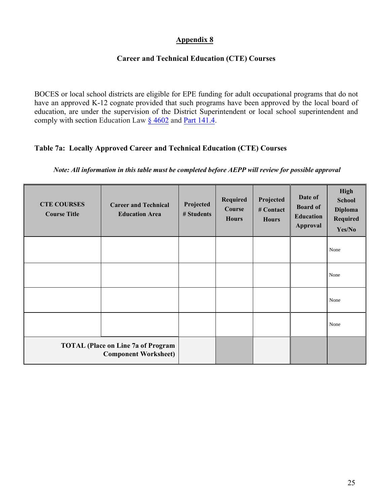# **Appendix 8**

## **Career and Technical Education (CTE) Courses**

BOCES or local school districts are eligible for EPE funding for adult occupational programs that do not have an approved K-12 cognate provided that such programs have been approved by the local board of education, are under the supervision of the District Superintendent or local school superintendent and comply with section Education Law  $\S$  4602 and Part 141.4.

## **Table 7a: Locally Approved Career and Technical Education (CTE) Courses**

#### *Note: All information in this table must be completed before AEPP will review for possible approval*

| <b>CTE COURSES</b><br><b>Course Title</b>                                | <b>Career and Technical</b><br><b>Education Area</b> | Projected<br># Students | Required<br>Course<br><b>Hours</b> | Projected<br># Contact<br><b>Hours</b> | Date of<br><b>Board of</b><br><b>Education</b><br><b>Approval</b> | <b>High</b><br><b>School</b><br><b>Diploma</b><br>Required<br>Yes/No |
|--------------------------------------------------------------------------|------------------------------------------------------|-------------------------|------------------------------------|----------------------------------------|-------------------------------------------------------------------|----------------------------------------------------------------------|
|                                                                          |                                                      |                         |                                    |                                        |                                                                   | None                                                                 |
|                                                                          |                                                      |                         |                                    |                                        |                                                                   | None                                                                 |
|                                                                          |                                                      |                         |                                    |                                        |                                                                   | None                                                                 |
|                                                                          |                                                      |                         |                                    |                                        |                                                                   | None                                                                 |
| <b>TOTAL (Place on Line 7a of Program</b><br><b>Component Worksheet)</b> |                                                      |                         |                                    |                                        |                                                                   |                                                                      |